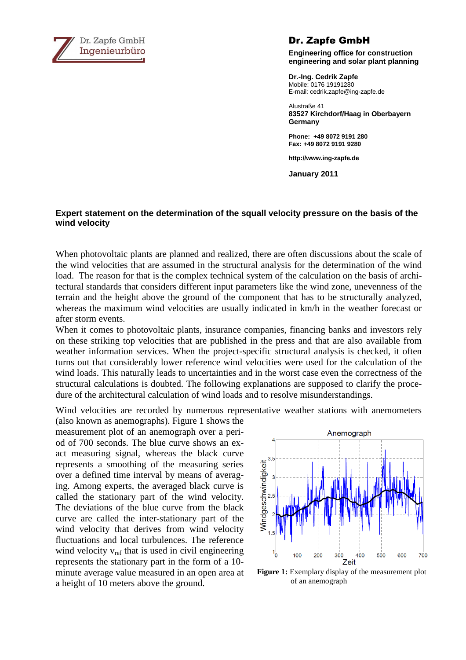

## Dr. Zapfe GmbH

**Engineering office for construction engineering and solar plant planning** 

**Dr.-Ing. Cedrik Zapfe**  Mobile: 0176 19191280 E-mail: cedrik.zapfe@ing-zapfe.de

Alustraße 41 **83527 Kirchdorf/Haag in Oberbayern Germany** 

**Phone: +49 8072 9191 280 Fax: +49 8072 9191 9280** 

**http://www.ing-zapfe.de** 

**January 2011** 

## **Expert statement on the determination of the squall velocity pressure on the basis of the wind velocity**

When photovoltaic plants are planned and realized, there are often discussions about the scale of the wind velocities that are assumed in the structural analysis for the determination of the wind load. The reason for that is the complex technical system of the calculation on the basis of architectural standards that considers different input parameters like the wind zone, unevenness of the terrain and the height above the ground of the component that has to be structurally analyzed, whereas the maximum wind velocities are usually indicated in km/h in the weather forecast or after storm events.

When it comes to photovoltaic plants, insurance companies, financing banks and investors rely on these striking top velocities that are published in the press and that are also available from weather information services. When the project-specific structural analysis is checked, it often turns out that considerably lower reference wind velocities were used for the calculation of the wind loads. This naturally leads to uncertainties and in the worst case even the correctness of the structural calculations is doubted. The following explanations are supposed to clarify the procedure of the architectural calculation of wind loads and to resolve misunderstandings.

Wind velocities are recorded by numerous representative weather stations with anemometers

(also known as anemographs). Figure 1 shows the measurement plot of an anemograph over a period of 700 seconds. The blue curve shows an exact measuring signal, whereas the black curve represents a smoothing of the measuring series over a defined time interval by means of averaging. Among experts, the averaged black curve is called the stationary part of the wind velocity. The deviations of the blue curve from the black curve are called the inter-stationary part of the wind velocity that derives from wind velocity fluctuations and local turbulences. The reference wind velocity  $v_{ref}$  that is used in civil engineering represents the stationary part in the form of a 10 minute average value measured in an open area at a height of 10 meters above the ground.



**Figure 1:** Exemplary display of the measurement plot of an anemograph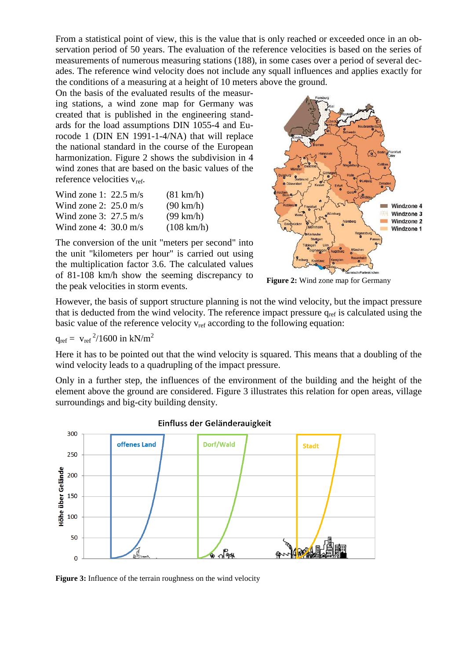From a statistical point of view, this is the value that is only reached or exceeded once in an observation period of 50 years. The evaluation of the reference velocities is based on the series of measurements of numerous measuring stations (188), in some cases over a period of several decades. The reference wind velocity does not include any squall influences and applies exactly for the conditions of a measuring at a height of 10 meters above the ground.

On the basis of the evaluated results of the measuring stations, a wind zone map for Germany was created that is published in the engineering standards for the load assumptions DIN 1055-4 and Eurocode 1 (DIN EN 1991-1-4/NA) that will replace the national standard in the course of the European harmonization. Figure 2 shows the subdivision in 4 wind zones that are based on the basic values of the reference velocities  $v_{ref}$ .

| Wind zone 1: $22.5 \text{ m/s}$ | $(81 \text{ km/h})$  |
|---------------------------------|----------------------|
| Wind zone 2: $25.0 \text{ m/s}$ | $(90 \text{ km/h})$  |
| Wind zone 3: $27.5 \text{ m/s}$ | $(99 \text{ km/h})$  |
| Wind zone 4: $30.0 \text{ m/s}$ | $(108 \text{ km/h})$ |

The conversion of the unit "meters per second" into the unit "kilometers per hour" is carried out using the multiplication factor 3.6. The calculated values of 81-108 km/h show the seeming discrepancy to the peak velocities in storm events.



**Figure 2:** Wind zone map for Germany

However, the basis of support structure planning is not the wind velocity, but the impact pressure that is deducted from the wind velocity. The reference impact pressure  $q_{ref}$  is calculated using the basic value of the reference velocity  $v_{ref}$  according to the following equation:

$$
q_{ref} = \ v_{ref}^{\ 2}/1600 \ in \ kN/m^2
$$

Here it has to be pointed out that the wind velocity is squared. This means that a doubling of the wind velocity leads to a quadrupling of the impact pressure.

Only in a further step, the influences of the environment of the building and the height of the element above the ground are considered. Figure 3 illustrates this relation for open areas, village surroundings and big-city building density.



**Figure 3:** Influence of the terrain roughness on the wind velocity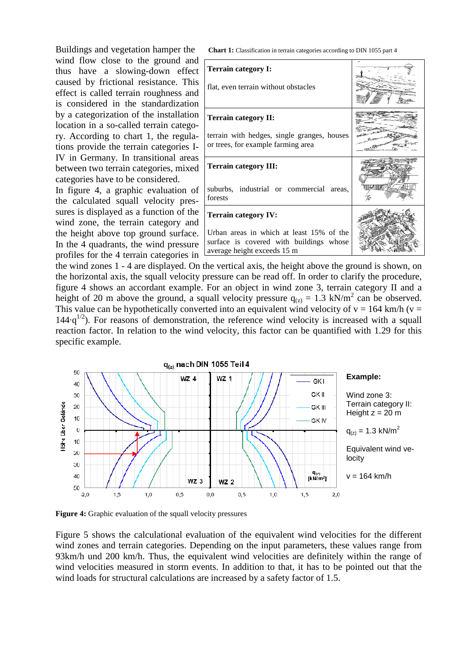Buildings and vegetation hamper the wind flow close to the ground and thus have a slowing-down effect caused by frictional resistance. This effect is called terrain roughness and is considered in the standardization by a categorization of the installation location in a so-called terrain category. According to chart 1, the regulations provide the terrain categories I-IV in Germany. In transitional areas between two terrain categories, mixed categories have to be considered.

In figure 4, a graphic evaluation of the calculated squall velocity pressures is displayed as a function of the wind zone, the terrain category and the height above top ground surface. In the 4 quadrants, the wind pressure profiles for the 4 terrain categories in **Chart 1:** Classification in terrain categories according to DIN 1055 part 4

| Terrain category I:<br>flat, even terrain without obstacles                                                        |  |
|--------------------------------------------------------------------------------------------------------------------|--|
| Terrain category II:                                                                                               |  |
| terrain with hedges, single granges, houses<br>or trees, for example farming area                                  |  |
| Terrain category III:                                                                                              |  |
| suburbs, industrial or commercial areas,<br>forests                                                                |  |
| <b>Terrain category IV:</b>                                                                                        |  |
| Urban areas in which at least 15% of the<br>surface is covered with buildings whose<br>average height exceeds 15 m |  |

the wind zones 1 - 4 are displayed. On the vertical axis, the height above the ground is shown, on the horizontal axis, the squall velocity pressure can be read off. In order to clarify the procedure, figure 4 shows an accordant example. For an object in wind zone 3, terrain category II and a height of 20 m above the ground, a squall velocity pressure  $q_{(z)} = 1.3 \text{ kN/m}^2$  can be observed. This value can be hypothetically converted into an equivalent wind velocity of  $v = 164$  km/h ( $v =$  $144 \cdot q^{1/2}$ ). For reasons of demonstration, the reference wind velocity is increased with a squall reaction factor. In relation to the wind velocity, this factor can be quantified with 1.29 for this specific example.



**Figure 4:** Graphic evaluation of the squall velocity pressures

Figure 5 shows the calculational evaluation of the equivalent wind velocities for the different wind zones and terrain categories. Depending on the input parameters, these values range from 93km/h und 200 km/h. Thus, the equivalent wind velocities are definitely within the range of wind velocities measured in storm events. In addition to that, it has to be pointed out that the wind loads for structural calculations are increased by a safety factor of 1.5.